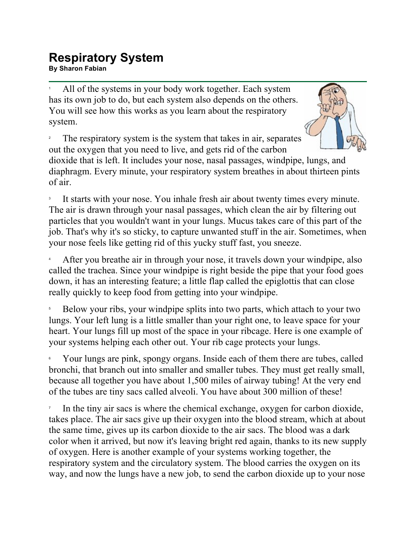## **Respiratory System Respiratory System**<br>By Sharon Fabian

1 All of the systems in your body work together. Each system has its own job to do, but each system also depends on the others. You will see how this works as you learn about the respiratory system.

2 The respiratory system is the system that takes in air, separates out the oxygen that you need to live, and gets rid of the carbon



dioxide that is left. It includes your nose, nasal passages, windpipe, lungs, and diaphragm. Every minute, your respiratory system breathes in about thirteen pints of air.

3 It starts with your nose. You inhale fresh air about twenty times every minute. The air is drawn through your nasal passages, which clean the air by filtering out particles that you wouldn't want in your lungs. Mucus takes care of this part of the job. That's why it's so sticky, to capture unwanted stuff in the air. Sometimes, when your nose feels like getting rid of this yucky stuff fast, you sneeze.

4 After you breathe air in through your nose, it travels down your windpipe, also called the trachea. Since your windpipe is right beside the pipe that your food goes down, it has an interesting feature; a little flap called the epiglottis that can close really quickly to keep food from getting into your windpipe.

5 Below your ribs, your windpipe splits into two parts, which attach to your two lungs. Your left lung is a little smaller than your right one, to leave space for your heart. Your lungs fill up most of the space in your ribcage. Here is one example of your systems helping each other out. Your rib cage protects your lungs.

6 Your lungs are pink, spongy organs. Inside each of them there are tubes, called bronchi, that branch out into smaller and smaller tubes. They must get really small, because all together you have about 1,500 miles of airway tubing! At the very end of the tubes are tiny sacs called alveoli. You have about 300 million of these!

7 In the tiny air sacs is where the chemical exchange, oxygen for carbon dioxide, takes place. The air sacs give up their oxygen into the blood stream, which at about the same time, gives up its carbon dioxide to the air sacs. The blood was a dark color when it arrived, but now it's leaving bright red again, thanks to its new supply of oxygen. Here is another example of your systems working together, the respiratory system and the circulatory system. The blood carries the oxygen on its way, and now the lungs have a new job, to send the carbon dioxide up to your nose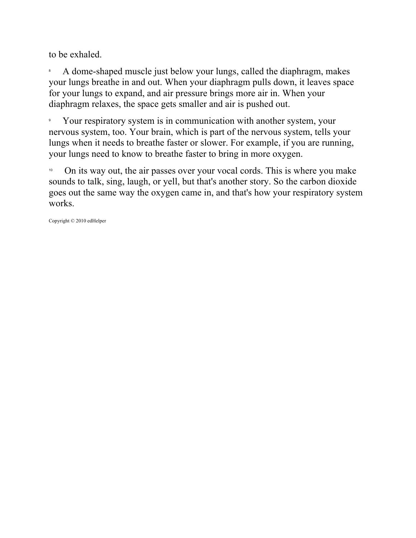to be exhaled.

8 A dome-shaped muscle just below your lungs, called the diaphragm, makes your lungs breathe in and out. When your diaphragm pulls down, it leaves space for your lungs to expand, and air pressure brings more air in. When your diaphragm relaxes, the space gets smaller and air is pushed out.

9 Your respiratory system is in communication with another system, your nervous system, too. Your brain, which is part of the nervous system, tells your lungs when it needs to breathe faster or slower. For example, if you are running, your lungs need to know to breathe faster to bring in more oxygen.

<sup>10</sup> On its way out, the air passes over your vocal cords. This is where you make sounds to talk, sing, laugh, or yell, but that's another story. So the carbon dioxide goes out the same way the oxygen came in, and that's how your respiratory system works.

Copyright © 2010 edHelper